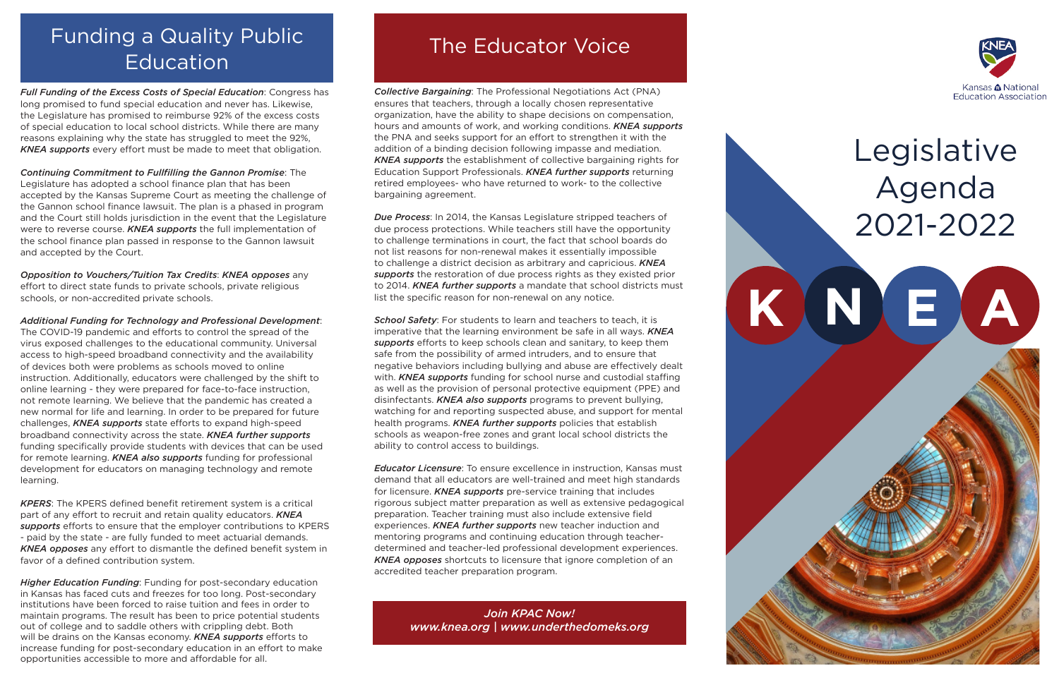*Full Funding of the Excess Costs of Special Education*: Congress has long promised to fund special education and never has. Likewise, the Legislature has promised to reimburse 92% of the excess costs of special education to local school districts. While there are many reasons explaining why the state has struggled to meet the 92%, *KNEA supports* every effort must be made to meet that obligation.

*Continuing Commitment to Fullfilling the Gannon Promise*: The Legislature has adopted a school finance plan that has been accepted by the Kansas Supreme Court as meeting the challenge of the Gannon school finance lawsuit. The plan is a phased in program and the Court still holds jurisdiction in the event that the Legislature were to reverse course. *KNEA supports* the full implementation of the school finance plan passed in response to the Gannon lawsuit and accepted by the Court.

*Opposition to Vouchers/Tuition Tax Credits*: *KNEA opposes* any effort to direct state funds to private schools, private religious schools, or non-accredited private schools.

*Additional Funding for Technology and Professional Development*:

The COVID-19 pandemic and efforts to control the spread of the virus exposed challenges to the educational community. Universal access to high-speed broadband connectivity and the availability of devices both were problems as schools moved to online instruction. Additionally, educators were challenged by the shift to online learning - they were prepared for face-to-face instruction, not remote learning. We believe that the pandemic has created a new normal for life and learning. In order to be prepared for future challenges, *KNEA supports* state efforts to expand high-speed broadband connectivity across the state. *KNEA further supports*  funding specifically provide students with devices that can be used for remote learning. *KNEA also supports* funding for professional development for educators on managing technology and remote learning.

*KPERS*: The KPERS defined benefit retirement system is a critical part of any effort to recruit and retain quality educators. *KNEA supports* efforts to ensure that the employer contributions to KPERS - paid by the state - are fully funded to meet actuarial demands. *KNEA opposes* any effort to dismantle the defined benefit system in favor of a defined contribution system.

**School Safety:** For students to learn and teachers to teach, it is imperative that the learning environment be safe in all ways. *KNEA supports* efforts to keep schools clean and sanitary, to keep them safe from the possibility of armed intruders, and to ensure that negative behaviors including bullying and abuse are effectively dealt with. *KNEA supports* funding for school nurse and custodial staffing as well as the provision of personal protective equipment (PPE) and disinfectants. *KNEA also supports* programs to prevent bullying, watching for and reporting suspected abuse, and support for mental health programs. *KNEA further supports* policies that establish schools as weapon-free zones and grant local school districts the ability to control access to buildings.

*Higher Education Funding*: Funding for post-secondary education in Kansas has faced cuts and freezes for too long. Post-secondary institutions have been forced to raise tuition and fees in order to maintain programs. The result has been to price potential students out of college and to saddle others with crippling debt. Both will be drains on the Kansas economy. *KNEA supports* efforts to increase funding for post-secondary education in an effort to make opportunities accessible to more and affordable for all.

### The Educator Voice



# Legislative Agenda 2021-2022

*Collective Bargaining*: The Professional Negotiations Act (PNA) ensures that teachers, through a locally chosen representative organization, have the ability to shape decisions on compensation, hours and amounts of work, and working conditions. *KNEA supports* the PNA and seeks support for an effort to strengthen it with the addition of a binding decision following impasse and mediation. *KNEA supports* the establishment of collective bargaining rights for Education Support Professionals. *KNEA further supports* returning retired employees- who have returned to work- to the collective bargaining agreement.

*Due Process*: In 2014, the Kansas Legislature stripped teachers of due process protections. While teachers still have the opportunity to challenge terminations in court, the fact that school boards do not list reasons for non-renewal makes it essentially impossible to challenge a district decision as arbitrary and capricious. *KNEA supports* the restoration of due process rights as they existed prior to 2014. *KNEA further supports* a mandate that school districts must list the specific reason for non-renewal on any notice.

*Educator Licensure*: To ensure excellence in instruction, Kansas must demand that all educators are well-trained and meet high standards for licensure. *KNEA supports* pre-service training that includes rigorous subject matter preparation as well as extensive pedagogical preparation. Teacher training must also include extensive field experiences. *KNEA further supports* new teacher induction and mentoring programs and continuing education through teacherdetermined and teacher-led professional development experiences. *KNEA opposes* shortcuts to licensure that ignore completion of an accredited teacher preparation program.

### Funding a Quality Public Education